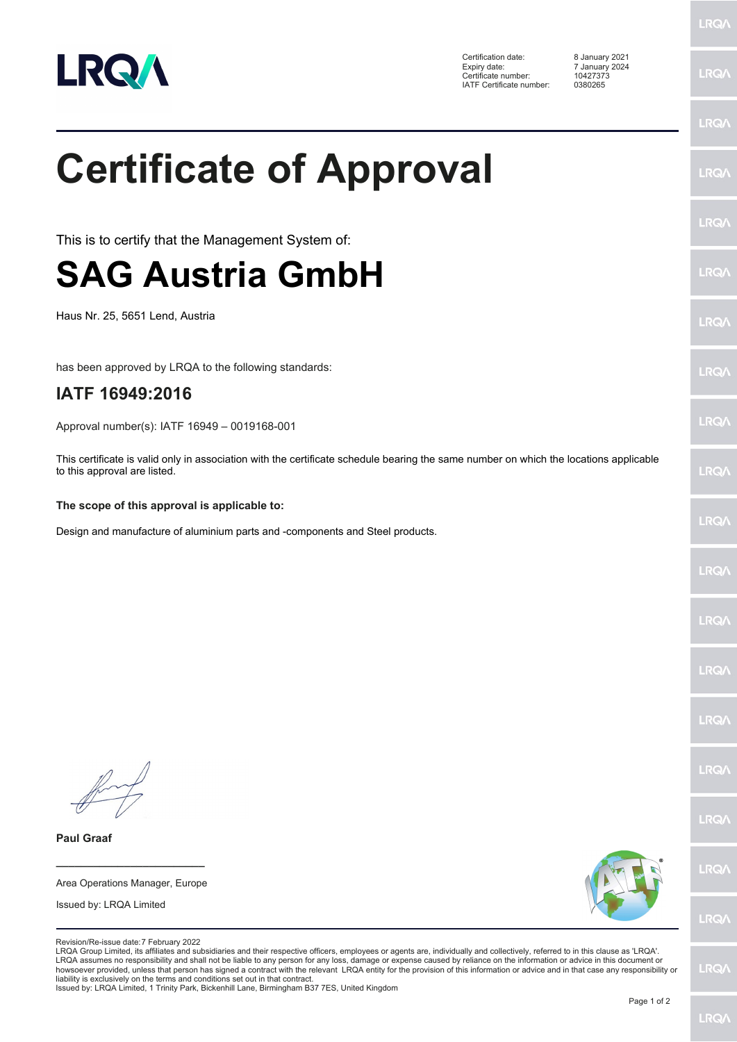

**LRQA** 

|                                                                                                                                                                                                                                                                                                                                                                                                                                                                                                                                                                                                                                                                                                                                                                                | <b>LRQ/</b> |
|--------------------------------------------------------------------------------------------------------------------------------------------------------------------------------------------------------------------------------------------------------------------------------------------------------------------------------------------------------------------------------------------------------------------------------------------------------------------------------------------------------------------------------------------------------------------------------------------------------------------------------------------------------------------------------------------------------------------------------------------------------------------------------|-------------|
| <b>Certificate of Approval</b>                                                                                                                                                                                                                                                                                                                                                                                                                                                                                                                                                                                                                                                                                                                                                 | LRQ/        |
| This is to certify that the Management System of:                                                                                                                                                                                                                                                                                                                                                                                                                                                                                                                                                                                                                                                                                                                              | LRQ/        |
| <b>SAG Austria GmbH</b>                                                                                                                                                                                                                                                                                                                                                                                                                                                                                                                                                                                                                                                                                                                                                        | LRQ/        |
| Haus Nr. 25, 5651 Lend, Austria                                                                                                                                                                                                                                                                                                                                                                                                                                                                                                                                                                                                                                                                                                                                                | LRQ/        |
| has been approved by LRQA to the following standards:                                                                                                                                                                                                                                                                                                                                                                                                                                                                                                                                                                                                                                                                                                                          | LRQ/        |
| IATF 16949:2016                                                                                                                                                                                                                                                                                                                                                                                                                                                                                                                                                                                                                                                                                                                                                                |             |
| Approval number(s): IATF 16949 - 0019168-001                                                                                                                                                                                                                                                                                                                                                                                                                                                                                                                                                                                                                                                                                                                                   | LRQ/        |
| This certificate is valid only in association with the certificate schedule bearing the same number on which the locations applicable<br>to this approval are listed.                                                                                                                                                                                                                                                                                                                                                                                                                                                                                                                                                                                                          | LRQ/        |
| The scope of this approval is applicable to:                                                                                                                                                                                                                                                                                                                                                                                                                                                                                                                                                                                                                                                                                                                                   |             |
| Design and manufacture of aluminium parts and -components and Steel products.                                                                                                                                                                                                                                                                                                                                                                                                                                                                                                                                                                                                                                                                                                  | LRQ/        |
|                                                                                                                                                                                                                                                                                                                                                                                                                                                                                                                                                                                                                                                                                                                                                                                | LRQ/        |
|                                                                                                                                                                                                                                                                                                                                                                                                                                                                                                                                                                                                                                                                                                                                                                                | LRQ/        |
|                                                                                                                                                                                                                                                                                                                                                                                                                                                                                                                                                                                                                                                                                                                                                                                | <b>LRQA</b> |
|                                                                                                                                                                                                                                                                                                                                                                                                                                                                                                                                                                                                                                                                                                                                                                                | LRQ/        |
|                                                                                                                                                                                                                                                                                                                                                                                                                                                                                                                                                                                                                                                                                                                                                                                | LRQ/        |
|                                                                                                                                                                                                                                                                                                                                                                                                                                                                                                                                                                                                                                                                                                                                                                                | LRQ/        |
| <b>Paul Graaf</b>                                                                                                                                                                                                                                                                                                                                                                                                                                                                                                                                                                                                                                                                                                                                                              |             |
| Area Operations Manager, Europe                                                                                                                                                                                                                                                                                                                                                                                                                                                                                                                                                                                                                                                                                                                                                | LRQ/        |
| Issued by: LRQA Limited                                                                                                                                                                                                                                                                                                                                                                                                                                                                                                                                                                                                                                                                                                                                                        | LRQ/        |
| Revision/Re-issue date: 7 February 2022<br>LRQA Group Limited, its affiliates and subsidiaries and their respective officers, employees or agents are, individually and collectively, referred to in this clause as 'LRQA'.<br>LRQA assumes no responsibility and shall not be liable to any person for any loss, damage or expense caused by reliance on the information or advice in this document or<br>howsoever provided, unless that person has signed a contract with the relevant LRQA entity for the provision of this information or advice and in that case any responsibility or<br>liability is exclusively on the terms and conditions set out in that contract.<br>Issued by: LRQA Limited, 1 Trinity Park, Bickenhill Lane, Birmingham B37 7ES, United Kingdom | <b>LRQ/</b> |